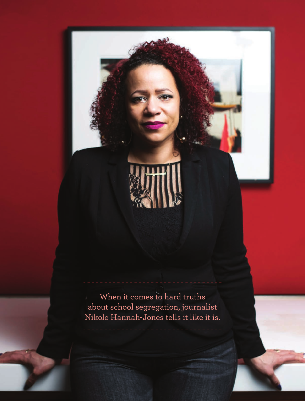

When it comes to hard truths about school segregation, journalist Nikole Hannah-Jones tells it like it is.

**32** TEACHING TOLERANCE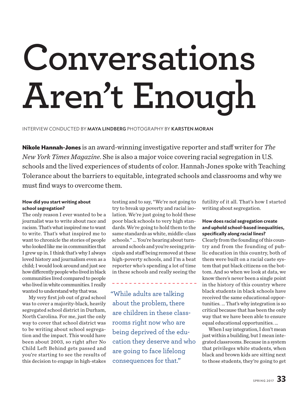# **Conversations Aren't Enough**

INTERVIEW CONDUCTED BY MAYA LINDBERG PHOTOGRAPHY BY KARSTEN MORAN

**Nikole Hannah-Jones** is an award-winning investigative reporter and staff writer for *The New York Times Magazine*. She is also a major voice covering racial segregation in U.S. schools and the lived experiences of students of color. Hannah-Jones spoke with Teaching Tolerance about the barriers to equitable, integrated schools and classrooms and why we must find ways to overcome them.

### **How did you start writing about school segregation?**

The only reason I ever wanted to be a journalist was to write about race and racism. That's what inspired me to want to write. That's what inspired me to want to chronicle the stories of people who looked like me in communities that I grew up in. I think that's why I always loved history and journalism even as a child; I would look around and just see how differently people who lived in black communities lived compared to people who lived in white communities. I really wanted to understand why that was.

My very first job out of grad school was to cover a majority-black, heavily segregated school district in Durham, North Carolina. For me, just the only way to cover that school district was to be writing about school segregation and the impact. This would have been about 2003, so right after No Child Left Behind gets passed and you're starting to see the results of this decision to engage in high-stakes

testing and to say, "We're not going to try to break up poverty and racial isolation. We're just going to hold these poor black schools to very high standards. We're going to hold them to the same standards as white, middle-class schools." … You're hearing about turnaround schools and you're seeing principals and staff being removed at these high-poverty schools, and I'm a beat reporter who's spending a lot of time in these schools and really seeing the

"While adults are talking about the problem, there are children in these classrooms right now who are being deprived of the education they deserve and who are going to face lifelong consequences for that."

futility of it all. That's how I started writing about segregation.

### **How does racial segregation create and uphold school-based inequalities, specifically along racial lines?**

Clearly from the founding of this country and from the founding of public education in this country, both of them were built on a racial caste system that put black citizens on the bottom. And so when we look at data, we know there's never been a single point in the history of this country where black students in black schools have received the same educational opportunities. … That's why integration is so critical because that has been the only way that we have been able to ensure equal educational opportunities. …

When I say integration, I don't mean just within a building, but I mean integrated classrooms. Because in a system that privileges white students, when black and brown kids are sitting next to those students, they're going to get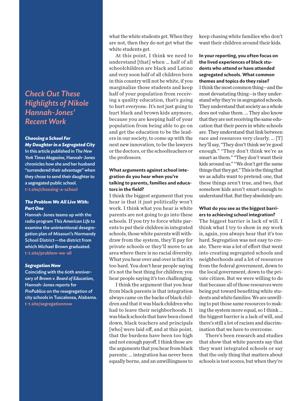# *Check Out These Highlights of Nikole Hannah-Jones' Recent Work*

### *Choosing a School For My Daughter in a Segregated City*

In this article published in *The New York Times Magazine*, Hannah-Jones chronicles how she and her husband "surrendered their advantage" when they chose to send their daughter to a segregated public school. [t-t.site/choosing-a-school](http://t-t.site/choosing-a-school)

### *The Problem We All Live With: Part One*

Hannah-Jones teams up with the radio program *This American Life* to examine the unintentional desegregation plan of Missouri's Normandy School District—the district from which Michael Brown graduated. [t-t.site/problem-we-all](http://t-t.site/problem-we-all)

### *Segregation Now*

Coinciding with the 60th anniversary of *Brown v. Board of Education*, Hannah-Jones reports for *ProPublica* on the resegregation of city schools in Tuscaloosa, Alabama. [t-t.site/segregationnow](http://t-t.site/segregationnow)

what the white students get. When they are not, then they do not get what the white students get.

At this point, I think we need to understand [that] when … half of all schoolchildren are black and Latino and very soon half of all children born in this country will not be white, if you marginalize those students and keep half of your population from receiving a quality education, that's going to hurt everyone. It's not just going to hurt black and brown kids anymore, because you are keeping half of your population from being able to go on and get the education to be the leaders in our society, to come up with the next new innovation, to be the lawyers or the doctors, or the schoolteachers or the professors.

### **What arguments against school integration do you hear when you're talking to parents, families and educators in the field?**

I think the biggest argument that you hear is that it just politically won't work. I think what you hear is white parents are not going to go into these schools. If you try to force white parents to put their children in integrated schools, those white parents will withdraw from the system, they'll pay for private schools or they'll move to an area where there is no racial diversity. What you hear over and over is that it's too hard. You don't hear people saying it's not the best thing for children; you hear people saying it's too challenging.

I think the argument that you hear from black parents is that integration always came on the backs of black children and that it was black children who had to leave their neighborhoods. It was black schools that have been closed down, black teachers and principals [who] were laid off, and at this point, that the burdens have been too high and not enough payoff. I think those are the arguments that you hear from black parents: … integration has never been equally borne, and an unwillingness to keep chasing white families who don't want their children around their kids.

### **In your reporting, you often focus on the lived experiences of black students who attend or have attended segregated schools. What common themes and topics do they raise?**

I think the most common thing—and the most devastating thing—is they understand why they're in segregated schools. They understand that society as a whole does not value them. … They also know that they are not receiving the same education that their peers in white schools are. They understand that link between race and resources very clearly. … [T] hey'll say, "They don't think we're good enough." "They don't think we're as smart as them." "They don't want their kids around us." "We don't get the same things that they get." This is the thing that we as adults want to pretend: one, that these things aren't true, and two, that somehow kids aren't smart enough to understand that. But they absolutely are.

### **What do you see as the biggest barriers to achieving school integration?**

The biggest barrier is lack of will. I think what I try to show in my work is, again, you always hear that it's too hard. Segregation was not easy to create. There was a lot of effort that went into creating segregated schools and neighborhoods and a lot of resources from the federal government, down to the local government, down to the private citizen. But we were willing to do that because all of those resources were being put toward benefiting white students and white families. We are unwilling to put those same resources to making the system more equal, so I think … the biggest barrier is a lack of will, and there's still a lot of racism and discrimination that we have to overcome.

There's been research and studies that show that white parents say that they want integrated schools or say that the only thing that matters about schools is test scores, but when they're